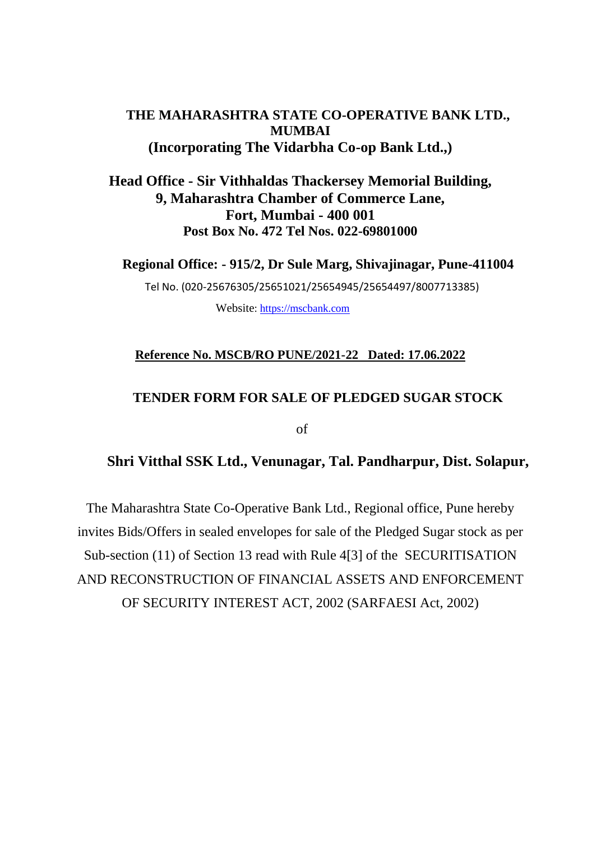### **THE MAHARASHTRA STATE CO-OPERATIVE BANK LTD., MUMBAI (Incorporating The Vidarbha Co-op Bank Ltd.,)**

### **Head Office - Sir Vithhaldas Thackersey Memorial Building, 9, Maharashtra Chamber of Commerce Lane, Fort, Mumbai - 400 001 Post Box No. 472 Tel Nos. 022-69801000**

**Regional Office: - 915/2, Dr Sule Marg, Shivajinagar, Pune-411004**

Tel No. (020-25676305/25651021/25654945/25654497/8007713385)

Website: [https://mscbank.com](https://mscbank.com/)

#### **Reference No. MSCB/RO PUNE/2021-22 Dated: 17.06.2022**

### **TENDER FORM FOR SALE OF PLEDGED SUGAR STOCK**

of

### **Shri Vitthal SSK Ltd., Venunagar, Tal. Pandharpur, Dist. Solapur,**

The Maharashtra State Co-Operative Bank Ltd., Regional office, Pune hereby invites Bids/Offers in sealed envelopes for sale of the Pledged Sugar stock as per Sub-section (11) of Section 13 read with Rule 4[3] of the SECURITISATION AND RECONSTRUCTION OF FINANCIAL ASSETS AND ENFORCEMENT OF SECURITY INTEREST ACT, 2002 (SARFAESI Act, 2002)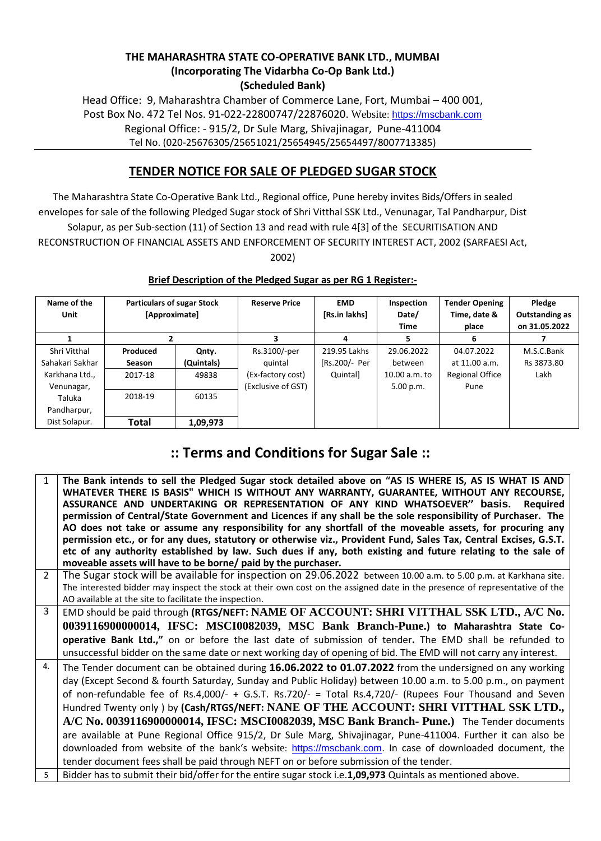#### **THE MAHARASHTRA STATE CO-OPERATIVE BANK LTD., MUMBAI (Incorporating The Vidarbha Co-Op Bank Ltd.) (Scheduled Bank)**

Head Office: 9, Maharashtra Chamber of Commerce Lane, Fort, Mumbai – 400 001, Post Box No. 472 Tel Nos. 91-022-22800747/22876020. Website: [https://mscbank.com](https://mscbank.com/) Regional Office: - 915/2, Dr Sule Marg, Shivajinagar, Pune-411004 Tel No. (020-25676305/25651021/25654945/25654497/8007713385)

### **TENDER NOTICE FOR SALE OF PLEDGED SUGAR STOCK**

The Maharashtra State Co-Operative Bank Ltd., Regional office, Pune hereby invites Bids/Offers in sealed envelopes for sale of the following Pledged Sugar stock of Shri Vitthal SSK Ltd., Venunagar, Tal Pandharpur, Dist Solapur, as per Sub-section (11) of Section 13 and read with rule 4[3] of the SECURITISATION AND RECONSTRUCTION OF FINANCIAL ASSETS AND ENFORCEMENT OF SECURITY INTEREST ACT, 2002 (SARFAESI Act, 2002)

| Name of the<br>Unit | <b>Particulars of sugar Stock</b><br>[Approximate] |            | <b>Reserve Price</b> | <b>EMD</b><br>[Rs.in lakhs] | Inspection<br>Date/<br>Time | <b>Tender Opening</b><br>Time, date &<br>place | Pledge<br>Outstanding as<br>on 31.05.2022 |
|---------------------|----------------------------------------------------|------------|----------------------|-----------------------------|-----------------------------|------------------------------------------------|-------------------------------------------|
|                     |                                                    |            | 3                    | 4                           | 5                           | 6                                              |                                           |
| Shri Vitthal        | Produced                                           | Qnty.      | Rs.3100/-per         | 219.95 Lakhs                | 29.06.2022                  | 04.07.2022                                     | M.S.C.Bank                                |
| Sahakari Sakhar     | <b>Season</b>                                      | (Quintals) | quintal              | [Rs.200/- Per               | between                     | at 11.00 a.m.                                  | Rs 3873.80                                |
| Karkhana Ltd.,      | 2017-18                                            | 49838      | (Ex-factory cost)    | Quintal]                    | 10.00 a.m. to               | <b>Regional Office</b>                         | Lakh                                      |
| Venunagar,          |                                                    |            | (Exclusive of GST)   |                             | 5.00 p.m.                   | Pune                                           |                                           |
| Taluka              | 2018-19                                            | 60135      |                      |                             |                             |                                                |                                           |
| Pandharpur,         |                                                    |            |                      |                             |                             |                                                |                                           |
| Dist Solapur.       | Total                                              | 1,09,973   |                      |                             |                             |                                                |                                           |

#### **Brief Description of the Pledged Sugar as per RG 1 Register:-**

## **:: Terms and Conditions for Sugar Sale ::**

| $\mathbf{1}$  | The Bank intends to sell the Pledged Sugar stock detailed above on "AS IS WHERE IS, AS IS WHAT IS AND<br>WHATEVER THERE IS BASIS" WHICH IS WITHOUT ANY WARRANTY, GUARANTEE, WITHOUT ANY RECOURSE, |
|---------------|---------------------------------------------------------------------------------------------------------------------------------------------------------------------------------------------------|
|               | ASSURANCE AND UNDERTAKING OR REPRESENTATION OF ANY KIND WHATSOEVER" basis. Required                                                                                                               |
|               | permission of Central/State Government and Licences if any shall be the sole responsibility of Purchaser. The                                                                                     |
|               | AO does not take or assume any responsibility for any shortfall of the moveable assets, for procuring any                                                                                         |
|               |                                                                                                                                                                                                   |
|               | permission etc., or for any dues, statutory or otherwise viz., Provident Fund, Sales Tax, Central Excises, G.S.T.                                                                                 |
|               | etc of any authority established by law. Such dues if any, both existing and future relating to the sale of                                                                                       |
|               | moveable assets will have to be borne/ paid by the purchaser.                                                                                                                                     |
| $\mathcal{P}$ | The Sugar stock will be available for inspection on 29.06.2022 between 10.00 a.m. to 5.00 p.m. at Karkhana site.                                                                                  |
|               | The interested bidder may inspect the stock at their own cost on the assigned date in the presence of representative of the                                                                       |
|               | AO available at the site to facilitate the inspection.                                                                                                                                            |
| 3             | EMD should be paid through (RTGS/NEFT: NAME OF ACCOUNT: SHRI VITTHAL SSK LTD., A/C No.                                                                                                            |
|               | 0039116900000014, IFSC: MSCI0082039, MSC Bank Branch-Pune.) to Maharashtra State Co-                                                                                                              |
|               | operative Bank Ltd.," on or before the last date of submission of tender. The EMD shall be refunded to                                                                                            |
|               | unsuccessful bidder on the same date or next working day of opening of bid. The EMD will not carry any interest.                                                                                  |
| 4.            | The Tender document can be obtained during 16.06.2022 to 01.07.2022 from the undersigned on any working                                                                                           |
|               | day (Except Second & fourth Saturday, Sunday and Public Holiday) between 10.00 a.m. to 5.00 p.m., on payment                                                                                      |
|               | of non-refundable fee of Rs.4,000/- + G.S.T. Rs.720/- = Total Rs.4,720/- (Rupees Four Thousand and Seven                                                                                          |
|               | Hundred Twenty only) by (Cash/RTGS/NEFT: NANE OF THE ACCOUNT: SHRI VITTHAL SSK LTD.,                                                                                                              |
|               |                                                                                                                                                                                                   |
|               | A/C No. 0039116900000014, IFSC: MSCI0082039, MSC Bank Branch- Pune.) The Tender documents                                                                                                         |
|               | are available at Pune Regional Office 915/2, Dr Sule Marg, Shivajinagar, Pune-411004. Further it can also be                                                                                      |
|               | downloaded from website of the bank's website: https://mscbank.com. In case of downloaded document, the                                                                                           |
|               | tender document fees shall be paid through NEFT on or before submission of the tender.                                                                                                            |
| 5             | Bidder has to submit their bid/offer for the entire sugar stock i.e.1,09,973 Quintals as mentioned above.                                                                                         |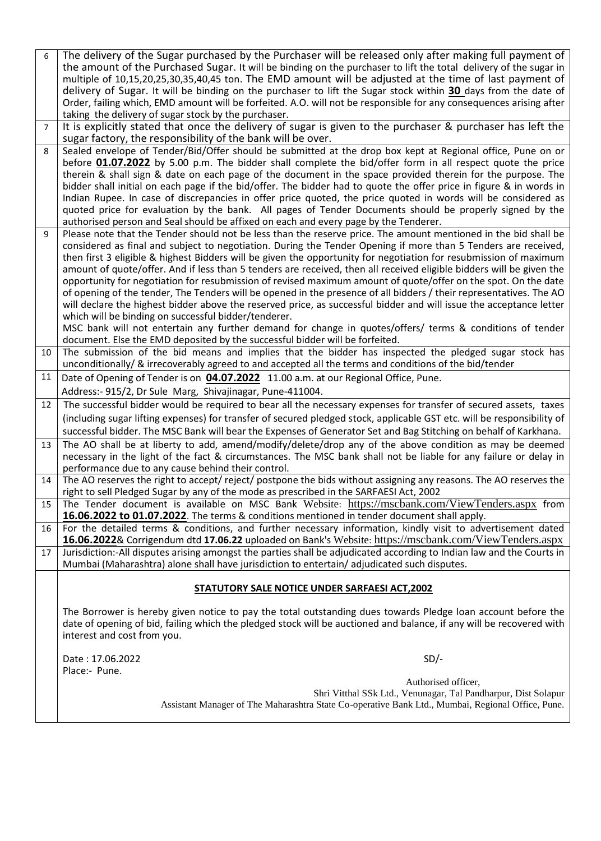| 6              | The delivery of the Sugar purchased by the Purchaser will be released only after making full payment of                 |
|----------------|-------------------------------------------------------------------------------------------------------------------------|
|                | the amount of the Purchased Sugar. It will be binding on the purchaser to lift the total delivery of the sugar in       |
|                | multiple of 10,15,20,25,30,35,40,45 ton. The EMD amount will be adjusted at the time of last payment of                 |
|                | delivery of Sugar. It will be binding on the purchaser to lift the Sugar stock within 30 days from the date of          |
|                | Order, failing which, EMD amount will be forfeited. A.O. will not be responsible for any consequences arising after     |
|                | taking the delivery of sugar stock by the purchaser.                                                                    |
| $\overline{7}$ | It is explicitly stated that once the delivery of sugar is given to the purchaser & purchaser has left the              |
|                | sugar factory, the responsibility of the bank will be over.                                                             |
| 8              | Sealed envelope of Tender/Bid/Offer should be submitted at the drop box kept at Regional office, Pune on or             |
|                | before 01.07.2022 by 5.00 p.m. The bidder shall complete the bid/offer form in all respect quote the price              |
|                |                                                                                                                         |
|                | therein & shall sign & date on each page of the document in the space provided therein for the purpose. The             |
|                | bidder shall initial on each page if the bid/offer. The bidder had to quote the offer price in figure & in words in     |
|                | Indian Rupee. In case of discrepancies in offer price quoted, the price quoted in words will be considered as           |
|                | quoted price for evaluation by the bank. All pages of Tender Documents should be properly signed by the                 |
|                | authorised person and Seal should be affixed on each and every page by the Tenderer.                                    |
| 9              | Please note that the Tender should not be less than the reserve price. The amount mentioned in the bid shall be         |
|                | considered as final and subject to negotiation. During the Tender Opening if more than 5 Tenders are received,          |
|                | then first 3 eligible & highest Bidders will be given the opportunity for negotiation for resubmission of maximum       |
|                | amount of quote/offer. And if less than 5 tenders are received, then all received eligible bidders will be given the    |
|                | opportunity for negotiation for resubmission of revised maximum amount of quote/offer on the spot. On the date          |
|                | of opening of the tender, The Tenders will be opened in the presence of all bidders / their representatives. The AO     |
|                | will declare the highest bidder above the reserved price, as successful bidder and will issue the acceptance letter     |
|                | which will be binding on successful bidder/tenderer.                                                                    |
|                | MSC bank will not entertain any further demand for change in quotes/offers/ terms & conditions of tender                |
|                | document. Else the EMD deposited by the successful bidder will be forfeited.                                            |
| 10             | The submission of the bid means and implies that the bidder has inspected the pledged sugar stock has                   |
|                | unconditionally/ & irrecoverably agreed to and accepted all the terms and conditions of the bid/tender                  |
| 11             | Date of Opening of Tender is on 04.07.2022 11.00 a.m. at our Regional Office, Pune.                                     |
|                | Address:- 915/2, Dr Sule Marg, Shivajinagar, Pune-411004.                                                               |
| 12             |                                                                                                                         |
|                | The successful bidder would be required to bear all the necessary expenses for transfer of secured assets, taxes        |
|                | (including sugar lifting expenses) for transfer of secured pledged stock, applicable GST etc. will be responsibility of |
|                | successful bidder. The MSC Bank will bear the Expenses of Generator Set and Bag Stitching on behalf of Karkhana.        |
| 13             | The AO shall be at liberty to add, amend/modify/delete/drop any of the above condition as may be deemed                 |
|                | necessary in the light of the fact & circumstances. The MSC bank shall not be liable for any failure or delay in        |
|                | performance due to any cause behind their control.                                                                      |
| 14             | The AO reserves the right to accept/reject/ postpone the bids without assigning any reasons. The AO reserves the        |
|                | right to sell Pledged Sugar by any of the mode as prescribed in the SARFAESI Act, 2002                                  |
| 15             | The Tender document is available on MSC Bank Website: https://mscbank.com/ViewTenders.aspx from                         |
|                | 16.06.2022 to 01.07.2022. The terms & conditions mentioned in tender document shall apply.                              |
| 16             | For the detailed terms & conditions, and further necessary information, kindly visit to advertisement dated             |
|                | 16.06.2022& Corrigendum dtd 17.06.22 uploaded on Bank's Website: https://mscbank.com/ViewTenders.aspx                   |
| 17             | Jurisdiction:-All disputes arising amongst the parties shall be adjudicated according to Indian law and the Courts in   |
|                | Mumbai (Maharashtra) alone shall have jurisdiction to entertain/adjudicated such disputes.                              |
|                |                                                                                                                         |
|                | STATUTORY SALE NOTICE UNDER SARFAESI ACT, 2002                                                                          |
|                |                                                                                                                         |
|                | The Borrower is hereby given notice to pay the total outstanding dues towards Pledge loan account before the            |
|                | date of opening of bid, failing which the pledged stock will be auctioned and balance, if any will be recovered with    |
|                | interest and cost from you.                                                                                             |
|                |                                                                                                                         |
|                | Date: 17.06.2022<br>$SD/-$                                                                                              |
|                | Place:- Pune.                                                                                                           |
|                | Authorised officer,                                                                                                     |
|                | Shri Vitthal SSk Ltd., Venunagar, Tal Pandharpur, Dist Solapur                                                          |
|                | Assistant Manager of The Maharashtra State Co-operative Bank Ltd., Mumbai, Regional Office, Pune.                       |
|                |                                                                                                                         |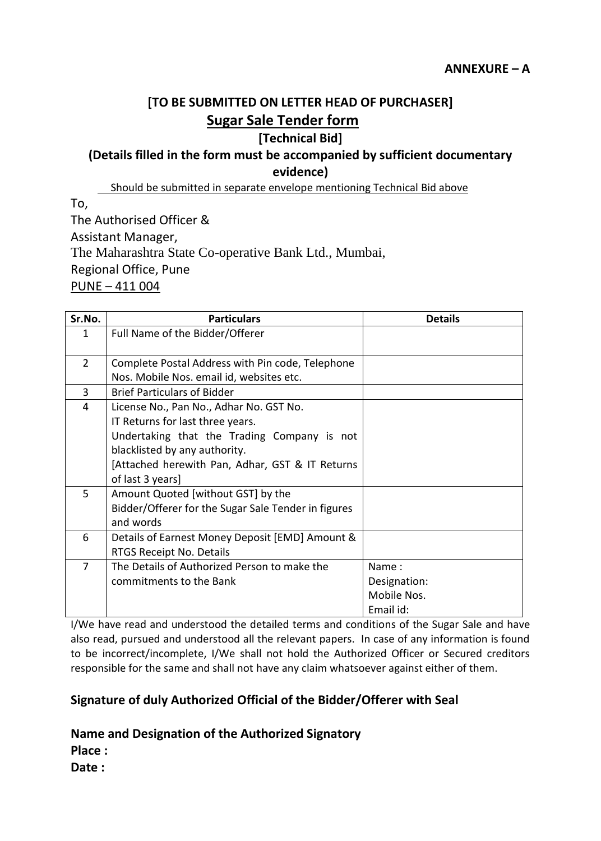# **[TO BE SUBMITTED ON LETTER HEAD OF PURCHASER] Sugar Sale Tender form**

### **[Technical Bid]**

## **(Details filled in the form must be accompanied by sufficient documentary evidence)**

Should be submitted in separate envelope mentioning Technical Bid above

To,

The Authorised Officer & Assistant Manager, The Maharashtra State Co-operative Bank Ltd., Mumbai, Regional Office, Pune PUNE – 411 004

| Sr.No.         | <b>Particulars</b>                                  | <b>Details</b> |
|----------------|-----------------------------------------------------|----------------|
| $\mathbf{1}$   | Full Name of the Bidder/Offerer                     |                |
| $\overline{2}$ | Complete Postal Address with Pin code, Telephone    |                |
|                | Nos. Mobile Nos. email id, websites etc.            |                |
| $\overline{3}$ | <b>Brief Particulars of Bidder</b>                  |                |
| 4              | License No., Pan No., Adhar No. GST No.             |                |
|                | IT Returns for last three years.                    |                |
|                | Undertaking that the Trading Company is not         |                |
|                | blacklisted by any authority.                       |                |
|                | [Attached herewith Pan, Adhar, GST & IT Returns     |                |
|                | of last 3 years]                                    |                |
| 5              | Amount Quoted [without GST] by the                  |                |
|                | Bidder/Offerer for the Sugar Sale Tender in figures |                |
|                | and words                                           |                |
| 6              | Details of Earnest Money Deposit [EMD] Amount &     |                |
|                | RTGS Receipt No. Details                            |                |
| $\overline{7}$ | The Details of Authorized Person to make the        | Name:          |
|                | commitments to the Bank                             | Designation:   |
|                |                                                     | Mobile Nos.    |
|                |                                                     | Email id:      |

I/We have read and understood the detailed terms and conditions of the Sugar Sale and have also read, pursued and understood all the relevant papers. In case of any information is found to be incorrect/incomplete, I/We shall not hold the Authorized Officer or Secured creditors responsible for the same and shall not have any claim whatsoever against either of them.

## **Signature of duly Authorized Official of the Bidder/Offerer with Seal**

### **Name and Designation of the Authorized Signatory**

**Place :**

**Date :**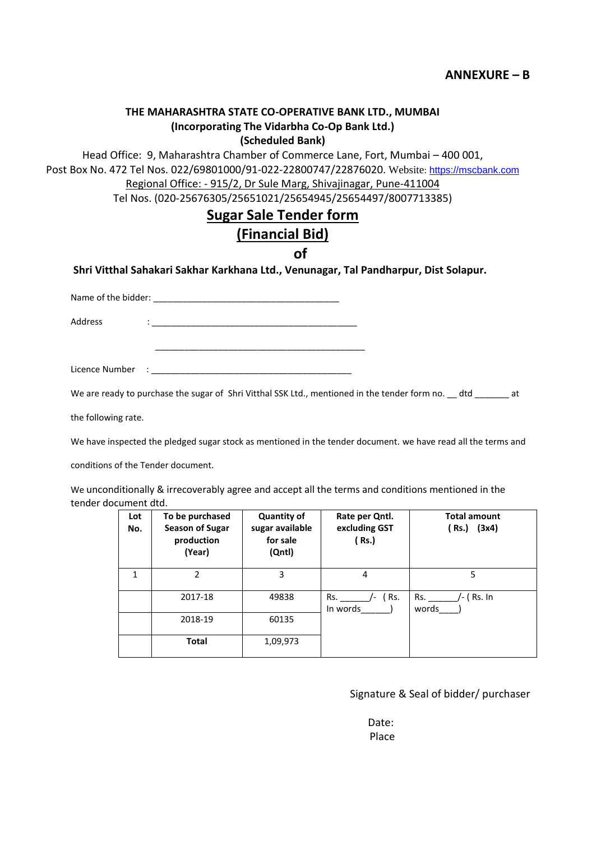#### **THE MAHARASHTRA STATE CO-OPERATIVE BANK LTD., MUMBAI (Incorporating The Vidarbha Co-Op Bank Ltd.) (Scheduled Bank)**

Head Office: 9, Maharashtra Chamber of Commerce Lane, Fort, Mumbai – 400 001, Post Box No. 472 Tel Nos. 022/69801000/91-022-22800747/22876020. Website: [https://mscbank.com](https://mscbank.com/) Regional Office: - 915/2, Dr Sule Marg, Shivajinagar, Pune-411004

Tel Nos. (020-25676305/25651021/25654945/25654497/8007713385)

### **Sugar Sale Tender form**

## **(Financial Bid)**

**of**

**Shri Vitthal Sahakari Sakhar Karkhana Ltd., Venunagar, Tal Pandharpur, Dist Solapur.**

Name of the bidder: \_\_\_\_\_\_\_\_\_\_\_\_\_\_\_\_\_\_\_\_\_\_\_\_\_\_\_\_\_\_\_\_\_\_\_\_\_\_

Address :

Licence Number : \_\_\_\_\_\_\_\_\_\_\_\_\_\_\_\_\_\_\_\_\_\_\_\_\_\_\_\_\_\_\_\_\_\_\_\_\_\_\_\_\_

\_\_\_\_\_\_\_\_\_\_\_\_\_\_\_\_\_\_\_\_\_\_\_\_\_\_\_\_\_\_\_\_\_\_\_\_\_\_\_\_\_\_\_

We are ready to purchase the sugar of Shri Vitthal SSK Ltd., mentioned in the tender form no. \_\_ dtd \_\_\_\_\_\_\_ at

the following rate.

We have inspected the pledged sugar stock as mentioned in the tender document. we have read all the terms and

conditions of the Tender document.

We unconditionally & irrecoverably agree and accept all the terms and conditions mentioned in the tender document dtd.

| Lot<br>No. | To be purchased<br><b>Season of Sugar</b><br>production<br>(Year) | <b>Quantity of</b><br>sugar available<br>for sale<br>(Qntl) | Rate per Qntl.<br>excluding GST<br>(Rs.)             | <b>Total amount</b><br>(3x4)<br>( Rs.) |
|------------|-------------------------------------------------------------------|-------------------------------------------------------------|------------------------------------------------------|----------------------------------------|
| 1          | $\overline{2}$                                                    | 3                                                           | 4                                                    | 5                                      |
|            | 2017-18                                                           | 49838                                                       | ( Rs.<br>Rs.<br>$\overline{\phantom{a}}$<br>In words | Rs.<br>/- ( Rs. In<br>words            |
|            | 2018-19                                                           | 60135                                                       |                                                      |                                        |
|            | <b>Total</b>                                                      | 1,09,973                                                    |                                                      |                                        |

#### Signature & Seal of bidder/ purchaser

 Date: Place